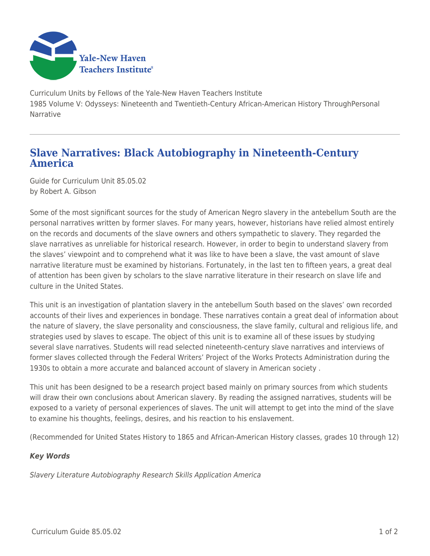

Curriculum Units by Fellows of the Yale-New Haven Teachers Institute 1985 Volume V: Odysseys: Nineteenth and Twentieth-Century African-American History ThroughPersonal **Narrative** 

## **Slave Narratives: Black Autobiography in Nineteenth-Century America**

Guide for Curriculum Unit 85.05.02 by Robert A. Gibson

Some of the most significant sources for the study of American Negro slavery in the antebellum South are the personal narratives written by former slaves. For many years, however, historians have relied almost entirely on the records and documents of the slave owners and others sympathetic to slavery. They regarded the slave narratives as unreliable for historical research. However, in order to begin to understand slavery from the slaves' viewpoint and to comprehend what it was like to have been a slave, the vast amount of slave narrative literature must be examined by historians. Fortunately, in the last ten to fifteen years, a great deal of attention has been given by scholars to the slave narrative literature in their research on slave life and culture in the United States.

This unit is an investigation of plantation slavery in the antebellum South based on the slaves' own recorded accounts of their lives and experiences in bondage. These narratives contain a great deal of information about the nature of slavery, the slave personality and consciousness, the slave family, cultural and religious life, and strategies used by slaves to escape. The object of this unit is to examine all of these issues by studying several slave narratives. Students will read selected nineteenth-century slave narratives and interviews of former slaves collected through the Federal Writers' Project of the Works Protects Administration during the 1930s to obtain a more accurate and balanced account of slavery in American society .

This unit has been designed to be a research project based mainly on primary sources from which students will draw their own conclusions about American slavery. By reading the assigned narratives, students will be exposed to a variety of personal experiences of slaves. The unit will attempt to get into the mind of the slave to examine his thoughts, feelings, desires, and his reaction to his enslavement.

(Recommended for United States History to 1865 and African-American History classes, grades 10 through 12)

## *Key Words*

Slavery Literature Autobiography Research Skills Application America